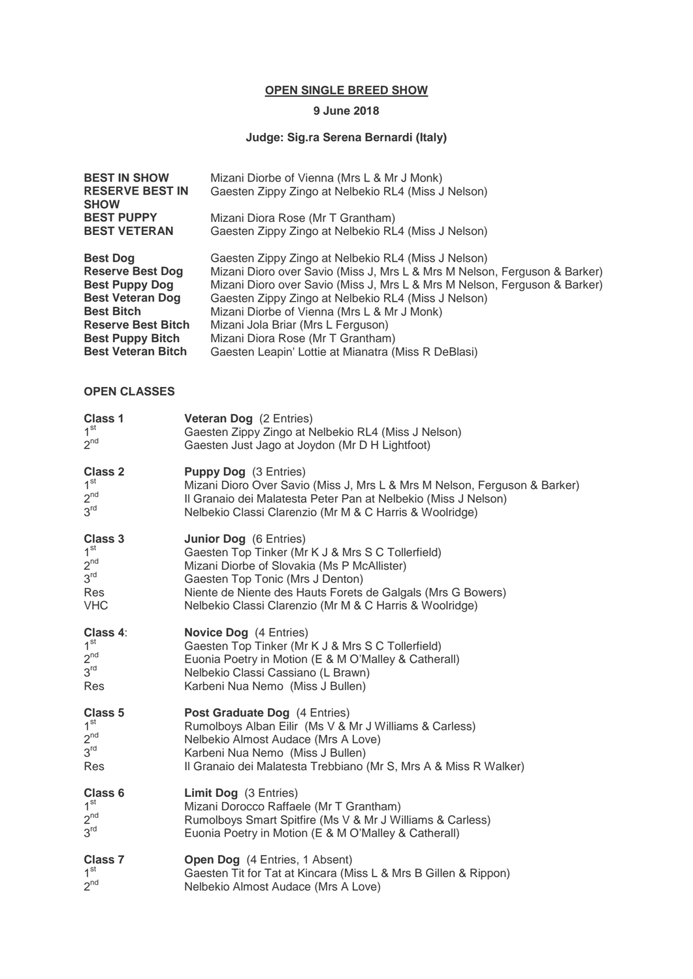#### **OPEN SINGLE BREED SHOW**

# **9 June 2018**

# **Judge: Sig.ra Serena Bernardi (Italy)**

| <b>BEST IN SHOW</b><br><b>RESERVE BEST IN</b><br><b>SHOW</b> | Mizani Diorbe of Vienna (Mrs L & Mr J Monk)<br>Gaesten Zippy Zingo at Nelbekio RL4 (Miss J Nelson) |
|--------------------------------------------------------------|----------------------------------------------------------------------------------------------------|
| <b>BEST PUPPY</b>                                            | Mizani Diora Rose (Mr T Grantham)                                                                  |
| <b>BEST VETERAN</b>                                          | Gaesten Zippy Zingo at Nelbekio RL4 (Miss J Nelson)                                                |
| <b>Best Dog</b>                                              | Gaesten Zippy Zingo at Nelbekio RL4 (Miss J Nelson)                                                |
| <b>Reserve Best Dog</b>                                      | Mizani Dioro over Savio (Miss J, Mrs L & Mrs M Nelson, Ferguson & Barker)                          |
| <b>Best Puppy Dog</b>                                        | Mizani Dioro over Savio (Miss J, Mrs L & Mrs M Nelson, Ferguson & Barker)                          |
| <b>Best Veteran Dog</b>                                      | Gaesten Zippy Zingo at Nelbekio RL4 (Miss J Nelson)                                                |
| <b>Best Bitch</b>                                            | Mizani Diorbe of Vienna (Mrs L & Mr J Monk)                                                        |
| <b>Reserve Best Bitch</b>                                    | Mizani Jola Briar (Mrs L Ferguson)                                                                 |
| <b>Best Puppy Bitch</b>                                      | Mizani Diora Rose (Mr T Grantham)                                                                  |
| <b>Best Veteran Bitch</b>                                    | Gaesten Leapin' Lottie at Mianatra (Miss R DeBlasi)                                                |
| <b>OPEN CLASSES</b>                                          |                                                                                                    |
| <b>Class 1</b>                                               | <b>Veteran Dog</b> (2 Entries)                                                                     |
| 1 <sup>st</sup>                                              | Gaesten Zippy Zingo at Nelbekio RL4 (Miss J Nelson)                                                |
| $2^{nd}$                                                     | Gaesten Just Jago at Joydon (Mr D H Lightfoot)                                                     |
| <b>Class 2</b>                                               | <b>Puppy Dog</b> (3 Entries)                                                                       |
| 1 <sup>st</sup>                                              | Mizani Dioro Over Savio (Miss J, Mrs L & Mrs M Nelson, Ferguson & Barker)                          |
| $2^{nd}$                                                     | Il Granaio dei Malatesta Peter Pan at Nelbekio (Miss J Nelson)                                     |
| 3 <sup>rd</sup>                                              | Nelbekio Classi Clarenzio (Mr M & C Harris & Woolridge)                                            |
| <b>Class 3</b>                                               | <b>Junior Dog</b> (6 Entries)                                                                      |
| 1 <sup>st</sup>                                              | Gaesten Top Tinker (Mr K J & Mrs S C Tollerfield)                                                  |
| $2^{nd}$                                                     | Mizani Diorbe of Slovakia (Ms P McAllister)                                                        |
| 3 <sup>rd</sup>                                              | Gaesten Top Tonic (Mrs J Denton)                                                                   |
| Res                                                          | Niente de Niente des Hauts Forets de Galgals (Mrs G Bowers)                                        |
| <b>VHC</b>                                                   | Nelbekio Classi Clarenzio (Mr M & C Harris & Woolridge)                                            |
| Class 4:                                                     | <b>Novice Dog</b> (4 Entries)                                                                      |
| 1 <sup>st</sup>                                              | Gaesten Top Tinker (Mr K J & Mrs S C Tollerfield)                                                  |
| $2^{nd}$                                                     | Euonia Poetry in Motion (E & M O'Malley & Catherall)                                               |
| 3 <sup>rd</sup>                                              | Nelbekio Classi Cassiano (L Brawn)                                                                 |
| Res                                                          | Karbeni Nua Nemo (Miss J Bullen)                                                                   |
| Class 5                                                      | Post Graduate Dog (4 Entries)                                                                      |
| 1 <sup>st</sup>                                              | Rumolboys Alban Eilir (Ms V & Mr J Williams & Carless)                                             |
| $2^{nd}$                                                     | Nelbekio Almost Audace (Mrs A Love)                                                                |
| $3^{\text{rd}}$                                              | Karbeni Nua Nemo (Miss J Bullen)                                                                   |
| Res                                                          | Il Granaio dei Malatesta Trebbiano (Mr S, Mrs A & Miss R Walker)                                   |
| Class 6                                                      | <b>Limit Dog</b> (3 Entries)                                                                       |
| 1 <sup>st</sup>                                              | Mizani Dorocco Raffaele (Mr T Grantham)                                                            |
| $2^{nd}$                                                     | Rumolboys Smart Spitfire (Ms V & Mr J Williams & Carless)                                          |
| $3^{\text{rd}}$                                              | Euonia Poetry in Motion (E & M O'Malley & Catherall)                                               |
| <b>Class 7</b>                                               | <b>Open Dog</b> (4 Entries, 1 Absent)                                                              |
| 1 <sup>st</sup>                                              | Gaesten Tit for Tat at Kincara (Miss L & Mrs B Gillen & Rippon)                                    |
| $2^{nd}$                                                     | Nelbekio Almost Audace (Mrs A Love)                                                                |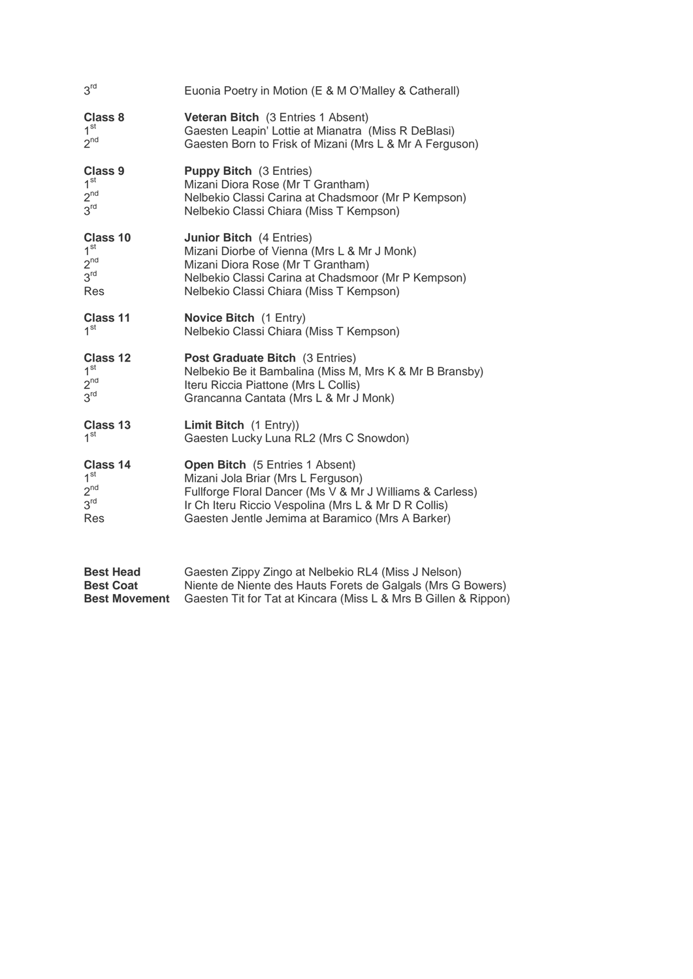| 3 <sup>rd</sup>  | Euonia Poetry in Motion (E & M O'Malley & Catherall)     |
|------------------|----------------------------------------------------------|
| <b>Class 8</b>   | Veteran Bitch (3 Entries 1 Absent)                       |
| 1 <sup>st</sup>  | Gaesten Leapin' Lottie at Mianatra (Miss R DeBlasi)      |
| $2^{nd}$         | Gaesten Born to Frisk of Mizani (Mrs L & Mr A Ferguson)  |
| <b>Class 9</b>   | <b>Puppy Bitch</b> (3 Entries)                           |
| 1 <sup>st</sup>  | Mizani Diora Rose (Mr T Grantham)                        |
| $2^{nd}$         | Nelbekio Classi Carina at Chadsmoor (Mr P Kempson)       |
| 3 <sup>rd</sup>  | Nelbekio Classi Chiara (Miss T Kempson)                  |
| Class 10         | <b>Junior Bitch</b> (4 Entries)                          |
| 1 <sup>st</sup>  | Mizani Diorbe of Vienna (Mrs L & Mr J Monk)              |
| $2^{nd}$         | Mizani Diora Rose (Mr T Grantham)                        |
| 3 <sup>rd</sup>  | Nelbekio Classi Carina at Chadsmoor (Mr P Kempson)       |
| Res              | Nelbekio Classi Chiara (Miss T Kempson)                  |
| Class 11         | <b>Novice Bitch</b> (1 Entry)                            |
| 1 <sup>st</sup>  | Nelbekio Classi Chiara (Miss T Kempson)                  |
| Class 12         | <b>Post Graduate Bitch</b> (3 Entries)                   |
| 1 <sup>st</sup>  | Nelbekio Be it Bambalina (Miss M, Mrs K & Mr B Bransby)  |
| $2^{nd}$         | Iteru Riccia Piattone (Mrs L Collis)                     |
| 3 <sup>rd</sup>  | Grancanna Cantata (Mrs L & Mr J Monk)                    |
| Class 13         | Limit Bitch (1 Entry))                                   |
| 1 <sup>st</sup>  | Gaesten Lucky Luna RL2 (Mrs C Snowdon)                   |
| Class 14         | Open Bitch (5 Entries 1 Absent)                          |
| 1 <sup>st</sup>  | Mizani Jola Briar (Mrs L Ferguson)                       |
| $2^{nd}$         | Fullforge Floral Dancer (Ms V & Mr J Williams & Carless) |
| 3 <sup>rd</sup>  | Ir Ch Iteru Riccio Vespolina (Mrs L & Mr D R Collis)     |
| Res              | Gaesten Jentle Jemima at Baramico (Mrs A Barker)         |
| <b>Best Head</b> | Gaesten Zippy Zingo at Nelbekio RL4 (Miss J Nelson)      |

| резі пеач            | Gaesteri Zippy Zirigo at Neibekio KL4 (Miss J Neisori)          |
|----------------------|-----------------------------------------------------------------|
| <b>Best Coat</b>     | Niente de Niente des Hauts Forets de Galgals (Mrs G Bowers)     |
| <b>Best Movement</b> | Gaesten Tit for Tat at Kincara (Miss L & Mrs B Gillen & Rippon) |
|                      |                                                                 |